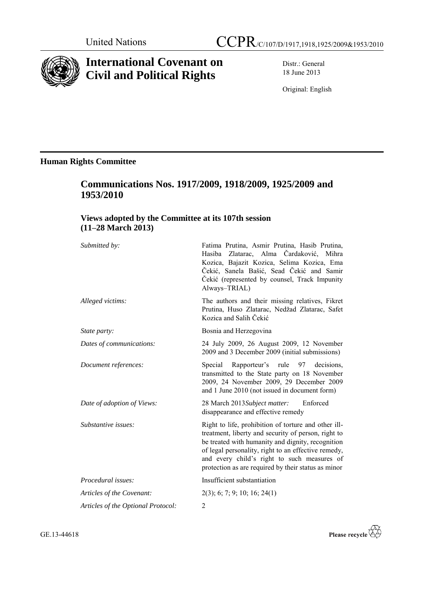

# **International Covenant on Civil and Political Rights**

Distr.: General 18 June 2013

Original: English

# **Human Rights Committee**

# **Communications Nos. 1917/2009, 1918/2009, 1925/2009 and 1953/2010**

# **Views adopted by the Committee at its 107th session (11–28 March 2013)**

| Submitted by:                      | Fatima Prutina, Asmir Prutina, Hasib Prutina,<br>Hasiba Zlatarac, Alma Čardaković, Mihra<br>Kozica, Bajazit Kozica, Selima Kozica, Ema<br>Čekić, Sanela Bašić, Sead Čekić and Samir<br>Čekić (represented by counsel, Track Impunity<br>Always-TRIAL)                                                                         |
|------------------------------------|-------------------------------------------------------------------------------------------------------------------------------------------------------------------------------------------------------------------------------------------------------------------------------------------------------------------------------|
| Alleged victims:                   | The authors and their missing relatives, Fikret<br>Prutina, Huso Zlatarac, Nedžad Zlatarac, Safet<br>Kozica and Salih Čekić                                                                                                                                                                                                   |
| State party:                       | Bosnia and Herzegovina                                                                                                                                                                                                                                                                                                        |
| Dates of communications:           | 24 July 2009, 26 August 2009, 12 November<br>2009 and 3 December 2009 (initial submissions)                                                                                                                                                                                                                                   |
| Document references:               | Rapporteur's rule 97 decisions,<br>Special<br>transmitted to the State party on 18 November<br>2009, 24 November 2009, 29 December 2009<br>and 1 June 2010 (not issued in document form)                                                                                                                                      |
| Date of adoption of Views:         | Enforced<br>28 March 2013Subject matter:<br>disappearance and effective remedy                                                                                                                                                                                                                                                |
| Substantive issues:                | Right to life, prohibition of torture and other ill-<br>treatment, liberty and security of person, right to<br>be treated with humanity and dignity, recognition<br>of legal personality, right to an effective remedy,<br>and every child's right to such measures of<br>protection as are required by their status as minor |
| Procedural issues:                 | Insufficient substantiation                                                                                                                                                                                                                                                                                                   |
| Articles of the Covenant:          | $2(3)$ ; 6; 7; 9; 10; 16; 24(1)                                                                                                                                                                                                                                                                                               |
| Articles of the Optional Protocol: | 2                                                                                                                                                                                                                                                                                                                             |

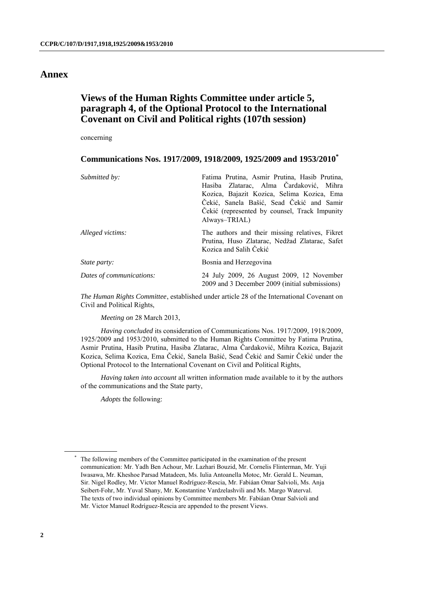# **Annex**

# **Views of the Human Rights Committee under article 5, paragraph 4, of the Optional Protocol to the International Covenant on Civil and Political rights (107th session)**

concerning

### **Communications Nos. 1917/2009, 1918/2009, 1925/2009 and 1953/2010\***

| Submitted by:            | Fatima Prutina, Asmir Prutina, Hasib Prutina,                                                                               |
|--------------------------|-----------------------------------------------------------------------------------------------------------------------------|
|                          | Hasiba Zlatarac, Alma Čardaković, Mihra                                                                                     |
|                          | Kozica, Bajazit Kozica, Selima Kozica, Ema                                                                                  |
|                          | Čekić, Sanela Bašić, Sead Čekić and Samir                                                                                   |
|                          | Čekić (represented by counsel, Track Impunity                                                                               |
|                          | Always-TRIAL)                                                                                                               |
| Alleged victims:         | The authors and their missing relatives, Fikret<br>Prutina, Huso Zlatarac, Nedžad Zlatarac, Safet<br>Kozica and Salih Čekić |
| <i>State party:</i>      | Bosnia and Herzegovina                                                                                                      |
| Dates of communications: | 24 July 2009, 26 August 2009, 12 November<br>2009 and 3 December 2009 (initial submissions)                                 |

*The Human Rights Committee*, established under article 28 of the International Covenant on Civil and Political Rights,

*Meeting on* 28 March 2013,

*Having concluded* its consideration of Communications Nos. 1917/2009, 1918/2009, 1925/2009 and 1953/2010, submitted to the Human Rights Committee by Fatima Prutina, Asmir Prutina, Hasib Prutina, Hasiba Zlatarac, Alma Čardaković, Mihra Kozica, Bajazit Kozica, Selima Kozica, Ema Čekić, Sanela Bašić, Sead Čekić and Samir Čekić under the Optional Protocol to the International Covenant on Civil and Political Rights,

*Having taken into account* all written information made available to it by the authors of the communications and the State party,

*Adopts* the following:

<sup>\*</sup> The following members of the Committee participated in the examination of the present communication: Mr. Yadh Ben Achour, Mr. Lazhari Bouzid, Mr. Cornelis Flinterman, Mr. Yuji Iwasawa, Mr. Kheshoe Parsad Matadeen, Ms. Iulia Antoanella Motoc, Mr. Gerald L. Neuman, Sir. Nigel Rodley, Mr. Victor Manuel Rodríguez-Rescia, Mr. Fabiáan Omar Salvioli, Ms. Anja Seibert-Fohr, Mr. Yuval Shany, Mr. Konstantine Vardzelashvili and Ms. Margo Waterval. The texts of two individual opinions by Committee members Mr. Fabiáan Omar Salvioli and Mr. Victor Manuel Rodríguez-Rescia are appended to the present Views.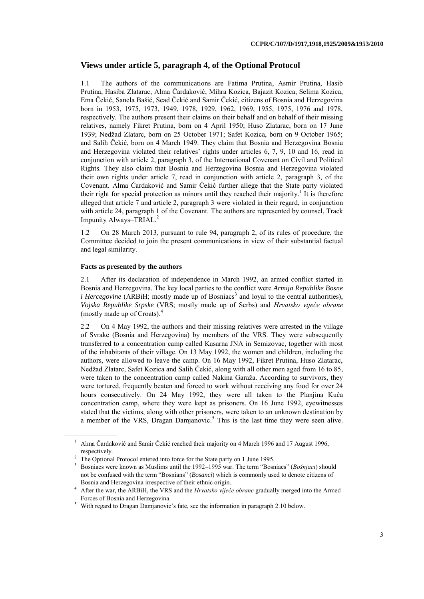## **Views under article 5, paragraph 4, of the Optional Protocol**

1.1 The authors of the communications are Fatima Prutina, Asmir Prutina, Hasib Prutina, Hasiba Zlatarac, Alma Čardaković, Mihra Kozica, Bajazit Kozica, Selima Kozica, Ema Čekić, Sanela Bašić, Sead Čekić and Samir Čekić, citizens of Bosnia and Herzegovina born in 1953, 1975, 1973, 1949, 1978, 1929, 1962, 1969, 1955, 1975, 1976 and 1978, respectively. The authors present their claims on their behalf and on behalf of their missing relatives, namely Fikret Prutina, born on 4 April 1950; Huso Zlatarac, born on 17 June 1939; Nedžad Zlatarc, born on 25 October 1971; Safet Kozica, born on 9 October 1965; and Salih Čekić, born on 4 March 1949. They claim that Bosnia and Herzegovina Bosnia and Herzegovina violated their relatives' rights under articles 6, 7, 9, 10 and 16, read in conjunction with article 2, paragraph 3, of the International Covenant on Civil and Political Rights. They also claim that Bosnia and Herzegovina Bosnia and Herzegovina violated their own rights under article 7, read in conjunction with article 2, paragraph 3, of the Covenant. Alma Čardaković and Samir Čekić further allege that the State party violated their right for special protection as minors until they reached their majority.<sup>1</sup> It is therefore alleged that article 7 and article 2, paragraph 3 were violated in their regard, in conjunction with article 24, paragraph 1 of the Covenant. The authors are represented by counsel, Track Impunity Always–TRIAL. 2

1.2 On 28 March 2013, pursuant to rule 94, paragraph 2, of its rules of procedure, the Committee decided to join the present communications in view of their substantial factual and legal similarity.

#### **Facts as presented by the authors**

2.1 After its declaration of independence in March 1992, an armed conflict started in Bosnia and Herzegovina. The key local parties to the conflict were *Armija Republike Bosne i Hercegovine* (ARBiH; mostly made up of Bosniacs<sup>3</sup> and loyal to the central authorities), *Vojska Republike Srpske* (VRS; mostly made up of Serbs) and *Hrvatsko vijeće obrane* (mostly made up of Croats). 4

2.2 On 4 May 1992, the authors and their missing relatives were arrested in the village of Svrake (Bosnia and Herzegovina) by members of the VRS. They were subsequently transferred to a concentration camp called Kasarna JNA in Semizovac, together with most of the inhabitants of their village. On 13 May 1992, the women and children, including the authors, were allowed to leave the camp. On 16 May 1992, Fikret Prutina, Huso Zlatarac, Nedžad Zlatarc, Safet Kozica and Salih Čekić, along with all other men aged from 16 to 85, were taken to the concentration camp called Nakina Garaža. According to survivors, they were tortured, frequently beaten and forced to work without receiving any food for over 24 hours consecutively. On 24 May 1992, they were all taken to the Planjina Kuća concentration camp, where they were kept as prisoners. On 16 June 1992, eyewitnesses stated that the victims, along with other prisoners, were taken to an unknown destination by a member of the VRS, Dragan Damjanovic. <sup>5</sup> This is the last time they were seen alive.

<sup>&</sup>lt;sup>1</sup> Alma Čardaković and Samir Čekić reached their majority on 4 March 1996 and 17 August 1996, respectively.

<sup>&</sup>lt;sup>2</sup> The Optional Protocol entered into force for the State party on 1 June 1995.

<sup>3</sup> Bosniacs were known as Muslims until the 1992–1995 war. The term "Bosniacs" (*Bošnjaci*) should not be confused with the term "Bosnians" (*Bosanci*) which is commonly used to denote citizens of Bosnia and Herzegovina irrespective of their ethnic origin.

<sup>&</sup>lt;sup>4</sup> After the war, the ARBiH, the VRS and the *Hrvatsko vijeće obrane* gradually merged into the Armed Forces of Bosnia and Herzegovina.

<sup>5</sup> With regard to Dragan Damjanovic's fate, see the information in paragraph 2.10 below.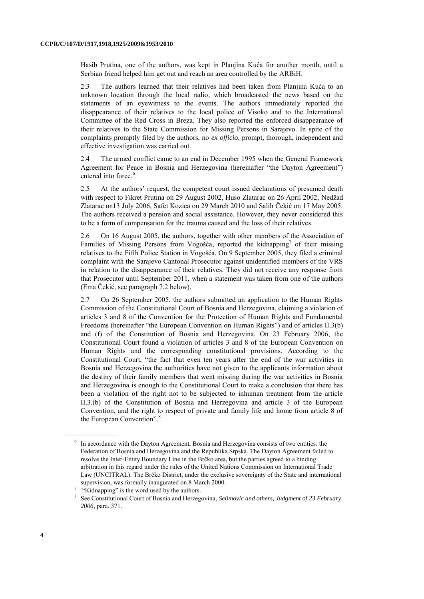Hasib Prutina, one of the authors, was kept in Planjina Kuća for another month, until a Serbian friend helped him get out and reach an area controlled by the ARBiH.

2.3 The authors learned that their relatives had been taken from Planjina Kuća to an unknown location through the local radio, which broadcasted the news based on the statements of an eyewitness to the events. The authors immediately reported the disappearance of their relatives to the local police of Visoko and to the International Committee of the Red Cross in Breza. They also reported the enforced disappearance of their relatives to the State Commission for Missing Persons in Sarajevo. In spite of the complaints promptly filed by the authors, no *ex officio*, prompt, thorough, independent and effective investigation was carried out.

2.4 The armed conflict came to an end in December 1995 when the General Framework Agreement for Peace in Bosnia and Herzegovina (hereinafter "the Dayton Agreement") entered into force.<sup>6</sup>

2.5 At the authors' request, the competent court issued declarations of presumed death with respect to Fikret Prutina on 29 August 2002, Huso Zlatarac on 26 April 2002, Nedžad Zlatarac on13 July 2006, Safet Kozica on 29 March 2010 and Salih Čekić on 17 May 2005. The authors received a pension and social assistance. However, they never considered this to be a form of compensation for the trauma caused and the loss of their relatives.

2.6 On 16 August 2005, the authors, together with other members of the Association of Families of Missing Persons from Vogošća, reported the kidnapping<sup>7</sup> of their missing relatives to the Fifth Police Station in Vogošća. On 9 September 2005, they filed a criminal complaint with the Sarajevo Cantonal Prosecutor against unidentified members of the VRS in relation to the disappearance of their relatives. They did not receive any response from that Prosecutor until September 2011, when a statement was taken from one of the authors (Ema Čekić, see paragraph 7.2 below).

2.7 On 26 September 2005, the authors submitted an application to the Human Rights Commission of the Constitutional Court of Bosnia and Herzegovina, claiming a violation of articles 3 and 8 of the Convention for the Protection of Human Rights and Fundamental Freedoms (hereinafter "the European Convention on Human Rights") and of articles II.3(b) and (f) of the Constitution of Bosnia and Herzegovina. On 23 February 2006, the Constitutional Court found a violation of articles 3 and 8 of the European Convention on Human Rights and the corresponding constitutional provisions. According to the Constitutional Court, "the fact that even ten years after the end of the war activities in Bosnia and Herzegovina the authorities have not given to the applicants information about the destiny of their family members that went missing during the war activities in Bosnia and Herzegovina is enough to the Constitutional Court to make a conclusion that there has been a violation of the right not to be subjected to inhuman treatment from the article II.3.(b) of the Constitution of Bosnia and Herzegovina and article 3 of the European Convention, and the right to respect of private and family life and home from article 8 of the European Convention".<sup>8</sup>

<sup>&</sup>lt;sup>6</sup> In accordance with the Dayton Agreement, Bosnia and Herzegovina consists of two entities: the Federation of Bosnia and Herzegovina and the Republika Srpska. The Dayton Agreement failed to resolve the Inter-Entity Boundary Line in the Brčko area, but the parties agreed to a binding arbitration in this regard under the rules of the United Nations Commission on International Trade Law (UNCITRAL). The Brčko District, under the exclusive sovereignty of the State and international supervision, was formally inaugurated on 8 March 2000.

<sup>7</sup> "Kidnapping" is the word used by the authors.

<sup>8</sup> See Constitutional Court of Bosnia and Herzegovina, *Selimovic and others, Judgment of 23 February 2006*, para. 371.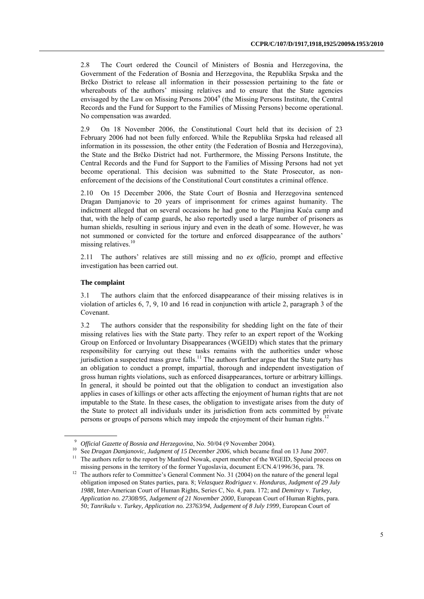2.8 The Court ordered the Council of Ministers of Bosnia and Herzegovina, the Government of the Federation of Bosnia and Herzegovina, the Republika Srpska and the Brčko District to release all information in their possession pertaining to the fate or whereabouts of the authors' missing relatives and to ensure that the State agencies envisaged by the Law on Missing Persons  $2004^9$  (the Missing Persons Institute, the Central Records and the Fund for Support to the Families of Missing Persons) become operational. No compensation was awarded.

2.9 On 18 November 2006, the Constitutional Court held that its decision of 23 February 2006 had not been fully enforced. While the Republika Srpska had released all information in its possession, the other entity (the Federation of Bosnia and Herzegovina), the State and the Brčko District had not. Furthermore, the Missing Persons Institute, the Central Records and the Fund for Support to the Families of Missing Persons had not yet become operational. This decision was submitted to the State Prosecutor, as nonenforcement of the decisions of the Constitutional Court constitutes a criminal offence.

2.10 On 15 December 2006, the State Court of Bosnia and Herzegovina sentenced Dragan Damjanovic to 20 years of imprisonment for crimes against humanity. The indictment alleged that on several occasions he had gone to the Planjina Kuća camp and that, with the help of camp guards, he also reportedly used a large number of prisoners as human shields, resulting in serious injury and even in the death of some. However, he was not summoned or convicted for the torture and enforced disappearance of the authors' missing relatives. 10

2.11 The authors' relatives are still missing and no *ex officio*, prompt and effective investigation has been carried out.

#### **The complaint**

3.1 The authors claim that the enforced disappearance of their missing relatives is in violation of articles 6, 7, 9, 10 and 16 read in conjunction with article 2, paragraph 3 of the Covenant.

3.2 The authors consider that the responsibility for shedding light on the fate of their missing relatives lies with the State party. They refer to an expert report of the Working Group on Enforced or Involuntary Disappearances (WGEID) which states that the primary responsibility for carrying out these tasks remains with the authorities under whose jurisdiction a suspected mass grave falls.<sup>11</sup> The authors further argue that the State party has an obligation to conduct a prompt, impartial, thorough and independent investigation of gross human rights violations, such as enforced disappearances, torture or arbitrary killings. In general, it should be pointed out that the obligation to conduct an investigation also applies in cases of killings or other acts affecting the enjoyment of human rights that are not imputable to the State. In these cases, the obligation to investigate arises from the duty of the State to protect all individuals under its jurisdiction from acts committed by private persons or groups of persons which may impede the enjoyment of their human rights.<sup>12</sup>

<sup>9</sup> *Official Gazette of Bosnia and Herzegovina*, No. 50/04 (9 November 2004).

<sup>&</sup>lt;sup>10</sup> See *Dragan Damjanovic, Judgment of 15 December 2006*, which became final on 13 June 2007.

<sup>&</sup>lt;sup>11</sup> The authors refer to the report by Manfred Nowak, expert member of the WGEID, Special process on missing persons in the territory of the former Yugoslavia, document E/CN.4/1996/36, para. 78.

<sup>&</sup>lt;sup>12</sup> The authors refer to Committee's General Comment No. 31 (2004) on the nature of the general legal obligation imposed on States parties, para. 8; *Velasquez Rodriguez* v. *Honduras, Judgment of 29 July 1988*, Inter-American Court of Human Rights, Series C, No. 4, para. 172; and *Demiray* v. *Turkey, Application no. 27308/95, Judgement of 21 November 2000*, European Court of Human Rights, para. 50; *Tanrikulu* v. *Turkey, Application no. 23763/94, Judgement of 8 July 1999*, European Court of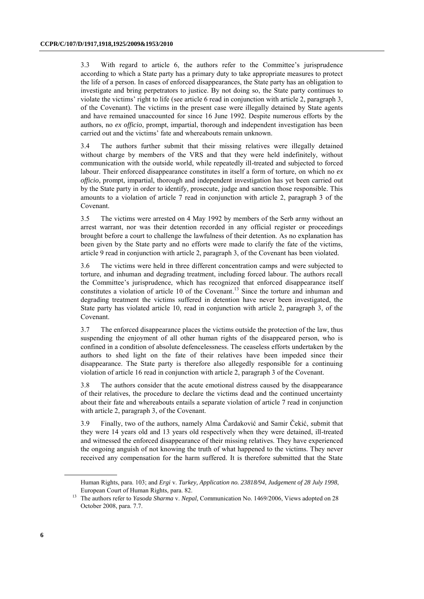3.3 With regard to article 6, the authors refer to the Committee's jurisprudence according to which a State party has a primary duty to take appropriate measures to protect the life of a person. In cases of enforced disappearances, the State party has an obligation to investigate and bring perpetrators to justice. By not doing so, the State party continues to violate the victims' right to life (see article 6 read in conjunction with article 2, paragraph 3, of the Covenant). The victims in the present case were illegally detained by State agents and have remained unaccounted for since 16 June 1992. Despite numerous efforts by the authors, no *ex officio*, prompt, impartial, thorough and independent investigation has been carried out and the victims' fate and whereabouts remain unknown.

3.4 The authors further submit that their missing relatives were illegally detained without charge by members of the VRS and that they were held indefinitely, without communication with the outside world, while repeatedly ill-treated and subjected to forced labour. Their enforced disappearance constitutes in itself a form of torture, on which no *ex officio*, prompt, impartial, thorough and independent investigation has yet been carried out by the State party in order to identify, prosecute, judge and sanction those responsible. This amounts to a violation of article 7 read in conjunction with article 2, paragraph 3 of the Covenant.

3.5 The victims were arrested on 4 May 1992 by members of the Serb army without an arrest warrant, nor was their detention recorded in any official register or proceedings brought before a court to challenge the lawfulness of their detention. As no explanation has been given by the State party and no efforts were made to clarify the fate of the victims, article 9 read in conjunction with article 2, paragraph 3, of the Covenant has been violated.

3.6 The victims were held in three different concentration camps and were subjected to torture, and inhuman and degrading treatment, including forced labour. The authors recall the Committee's jurisprudence, which has recognized that enforced disappearance itself constitutes a violation of article 10 of the Covenant. <sup>13</sup> Since the torture and inhuman and degrading treatment the victims suffered in detention have never been investigated, the State party has violated article 10, read in conjunction with article 2, paragraph 3, of the Covenant.

3.7 The enforced disappearance places the victims outside the protection of the law, thus suspending the enjoyment of all other human rights of the disappeared person, who is confined in a condition of absolute defencelessness. The ceaseless efforts undertaken by the authors to shed light on the fate of their relatives have been impeded since their disappearance. The State party is therefore also allegedly responsible for a continuing violation of article 16 read in conjunction with article 2, paragraph 3 of the Covenant.

3.8 The authors consider that the acute emotional distress caused by the disappearance of their relatives, the procedure to declare the victims dead and the continued uncertainty about their fate and whereabouts entails a separate violation of article 7 read in conjunction with article 2, paragraph 3, of the Covenant.

3.9 Finally, two of the authors, namely Alma Čardaković and Samir Čekić, submit that they were 14 years old and 13 years old respectively when they were detained, ill-treated and witnessed the enforced disappearance of their missing relatives. They have experienced the ongoing anguish of not knowing the truth of what happened to the victims. They never received any compensation for the harm suffered. It is therefore submitted that the State

Human Rights, para. 103; and *Ergi* v. *Turkey, Application no. 23818/94, Judgement of 28 July 1998*, European Court of Human Rights, para. 82.

<sup>13</sup> The authors refer to *Yasoda Sharma* v. *Nepal*, Communication No. 1469/2006, Views adopted on 28 October 2008, para. 7.7.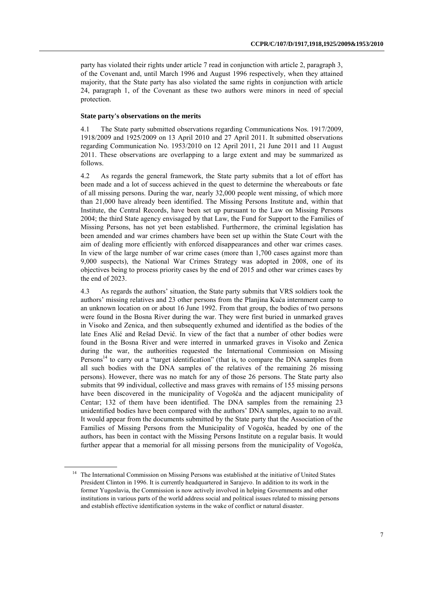party has violated their rights under article 7 read in conjunction with article 2, paragraph 3, of the Covenant and, until March 1996 and August 1996 respectively, when they attained majority, that the State party has also violated the same rights in conjunction with article 24, paragraph 1, of the Covenant as these two authors were minors in need of special protection.

#### **State party's observations on the merits**

4.1 The State party submitted observations regarding Communications Nos. 1917/2009, 1918/2009 and 1925/2009 on 13 April 2010 and 27 April 2011. It submitted observations regarding Communication No. 1953/2010 on 12 April 2011, 21 June 2011 and 11 August 2011. These observations are overlapping to a large extent and may be summarized as follows.

4.2 As regards the general framework, the State party submits that a lot of effort has been made and a lot of success achieved in the quest to determine the whereabouts or fate of all missing persons. During the war, nearly 32,000 people went missing, of which more than 21,000 have already been identified. The Missing Persons Institute and, within that Institute, the Central Records, have been set up pursuant to the Law on Missing Persons 2004; the third State agency envisaged by that Law, the Fund for Support to the Families of Missing Persons, has not yet been established. Furthermore, the criminal legislation has been amended and war crimes chambers have been set up within the State Court with the aim of dealing more efficiently with enforced disappearances and other war crimes cases. In view of the large number of war crime cases (more than 1,700 cases against more than 9,000 suspects), the National War Crimes Strategy was adopted in 2008, one of its objectives being to process priority cases by the end of 2015 and other war crimes cases by the end of 2023.

4.3 As regards the authors' situation, the State party submits that VRS soldiers took the authors' missing relatives and 23 other persons from the Planjina Kuća internment camp to an unknown location on or about 16 June 1992. From that group, the bodies of two persons were found in the Bosna River during the war. They were first buried in unmarked graves in Visoko and Zenica, and then subsequently exhumed and identified as the bodies of the late Enes Alić and Rešad Dević. In view of the fact that a number of other bodies were found in the Bosna River and were interred in unmarked graves in Visoko and Zenica during the war, the authorities requested the International Commission on Missing Persons<sup>14</sup> to carry out a "target identification" (that is, to compare the DNA samples from all such bodies with the DNA samples of the relatives of the remaining 26 missing persons). However, there was no match for any of those 26 persons. The State party also submits that 99 individual, collective and mass graves with remains of 155 missing persons have been discovered in the municipality of Vogošća and the adjacent municipality of Centar; 132 of them have been identified. The DNA samples from the remaining 23 unidentified bodies have been compared with the authors' DNA samples, again to no avail. It would appear from the documents submitted by the State party that the Association of the Families of Missing Persons from the Municipality of Vogošća, headed by one of the authors, has been in contact with the Missing Persons Institute on a regular basis. It would further appear that a memorial for all missing persons from the municipality of Vogošća,

<sup>&</sup>lt;sup>14</sup> The International Commission on Missing Persons was established at the initiative of United States President Clinton in 1996. It is currently headquartered in Sarajevo. In addition to its work in the former Yugoslavia, the Commission is now actively involved in helping Governments and other institutions in various parts of the world address social and political issues related to missing persons and establish effective identification systems in the wake of conflict or natural disaster.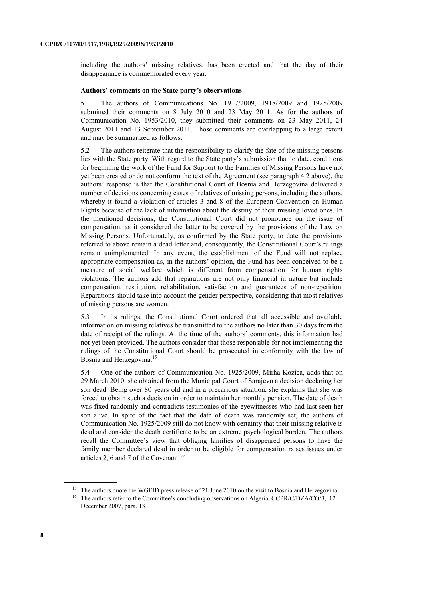including the authors' missing relatives, has been erected and that the day of their disappearance is commemorated every year.

#### **Authors' comments on the State party's observations**

5.1 The authors of Communications No. 1917/2009, 1918/2009 and 1925/2009 submitted their comments on 8 July 2010 and 23 May 2011. As for the authors of Communication No. 1953/2010, they submitted their comments on 23 May 2011, 24 August 2011 and 13 September 2011. Those comments are overlapping to a large extent and may be summarized as follows.

5.2 The authors reiterate that the responsibility to clarify the fate of the missing persons lies with the State party. With regard to the State party's submission that to date, conditions for beginning the work of the Fund for Support to the Families of Missing Persons have not yet been created or do not conform the text of the Agreement (see paragraph 4.2 above), the authors' response is that the Constitutional Court of Bosnia and Herzegovina delivered a number of decisions concerning cases of relatives of missing persons, including the authors, whereby it found a violation of articles 3 and 8 of the European Convention on Human Rights because of the lack of information about the destiny of their missing loved ones. In the mentioned decisions, the Constitutional Court did not pronounce on the issue of compensation, as it considered the latter to be covered by the provisions of the Law on Missing Persons. Unfortunately, as confirmed by the State party, to date the provisions referred to above remain a dead letter and, consequently, the Constitutional Court's rulings remain unimplemented. In any event, the establishment of the Fund will not replace appropriate compensation as, in the authors' opinion, the Fund has been conceived to be a measure of social welfare which is different from compensation for human rights violations. The authors add that reparations are not only financial in nature but include compensation, restitution, rehabilitation, satisfaction and guarantees of non-repetition. Reparations should take into account the gender perspective, considering that most relatives of missing persons are women.

5.3 In its rulings, the Constitutional Court ordered that all accessible and available information on missing relatives be transmitted to the authors no later than 30 days from the date of receipt of the rulings. At the time of the authors' comments, this information had not yet been provided. The authors consider that those responsible for not implementing the rulings of the Constitutional Court should be prosecuted in conformity with the law of Bosnia and Herzegovina.<sup>15</sup>

5.4 One of the authors of Communication No. 1925/2009, Mirha Kozica, adds that on 29 March 2010, she obtained from the Municipal Court of Sarajevo a decision declaring her son dead. Being over 80 years old and in a precarious situation, she explains that she was forced to obtain such a decision in order to maintain her monthly pension. The date of death was fixed randomly and contradicts testimonies of the eyewitnesses who had last seen her son alive. In spite of the fact that the date of death was randomly set, the authors of Communication No. 1925/2009 still do not know with certainty that their missing relative is dead and consider the death certificate to be an extreme psychological burden. The authors recall the Committee's view that obliging families of disappeared persons to have the family member declared dead in order to be eligible for compensation raises issues under articles 2, 6 and 7 of the Covenant. 16

<sup>&</sup>lt;sup>15</sup> The authors quote the WGEID press release of 21 June 2010 on the visit to Bosnia and Herzegovina.

<sup>&</sup>lt;sup>16</sup> The authors refer to the Committee's concluding observations on Algeria, CCPR/C/DZA/CO/3, 12 December 2007, para. 13.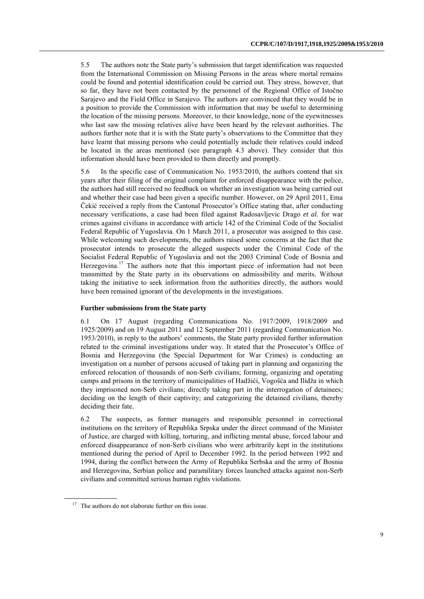5.5 The authors note the State party's submission that target identification was requested from the International Commission on Missing Persons in the areas where mortal remains could be found and potential identification could be carried out. They stress, however, that so far, they have not been contacted by the personnel of the Regional Office of Istočno Sarajevo and the Field Office in Sarajevo. The authors are convinced that they would be in a position to provide the Commission with information that may be useful to determining the location of the missing persons. Moreover, to their knowledge, none of the eyewitnesses who last saw the missing relatives alive have been heard by the relevant authorities. The authors further note that it is with the State party's observations to the Committee that they have learnt that missing persons who could potentially include their relatives could indeed be located in the areas mentioned (see paragraph 4.3 above). They consider that this information should have been provided to them directly and promptly.

5.6 In the specific case of Communication No. 1953/2010, the authors contend that six years after their filing of the original complaint for enforced disappearance with the police, the authors had still received no feedback on whether an investigation was being carried out and whether their case had been given a specific number. However, on 29 April 2011, Ema Čekić received a reply from the Cantonal Prosecutor's Office stating that, after conducting necessary verifications, a case had been filed against Radosavljevic Drago *et al.* for war crimes against civilians in accordance with article 142 of the Criminal Code of the Socialist Federal Republic of Yugoslavia. On 1 March 2011, a prosecutor was assigned to this case. While welcoming such developments, the authors raised some concerns at the fact that the prosecutor intends to prosecute the alleged suspects under the Criminal Code of the Socialist Federal Republic of Yugoslavia and not the 2003 Criminal Code of Bosnia and Herzegovina.<sup>17</sup> The authors note that this important piece of information had not been transmitted by the State party in its observations on admissibility and merits. Without taking the initiative to seek information from the authorities directly, the authors would have been remained ignorant of the developments in the investigations.

#### **Further submissions from the State party**

6.1 On 17 August (regarding Communications No. 1917/2009, 1918/2009 and 1925/2009) and on 19 August 2011 and 12 September 2011 (regarding Communication No. 1953/2010), in reply to the authors' comments, the State party provided further information related to the criminal investigations under way. It stated that the Prosecutor's Office of Bosnia and Herzegovina (the Special Department for War Crimes) is conducting an investigation on a number of persons accused of taking part in planning and organizing the enforced relocation of thousands of non-Serb civilians; forming, organizing and operating camps and prisons in the territory of municipalities of Hadžići, Vogošća and Ilidža in which they imprisoned non-Serb civilians; directly taking part in the interrogation of detainees; deciding on the length of their captivity; and categorizing the detained civilians, thereby deciding their fate.

6.2 The suspects, as former managers and responsible personnel in correctional institutions on the territory of Republika Srpska under the direct command of the Minister of Justice, are charged with killing, torturing, and inflicting mental abuse, forced labour and enforced disappearance of non-Serb civilians who were arbitrarily kept in the institutions mentioned during the period of April to December 1992. In the period between 1992 and 1994, during the conflict between the Army of Republika Serbska and the army of Bosnia and Herzegovina, Serbian police and paramilitary forces launched attacks against non-Serb civilians and committed serious human rights violations.

<sup>&</sup>lt;sup>17</sup> The authors do not elaborate further on this issue.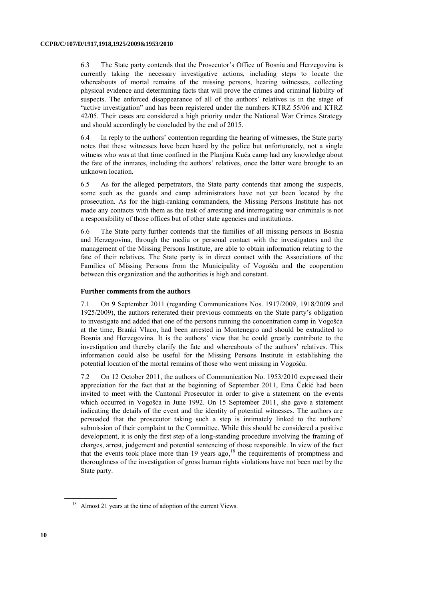6.3 The State party contends that the Prosecutor's Office of Bosnia and Herzegovina is currently taking the necessary investigative actions, including steps to locate the whereabouts of mortal remains of the missing persons, hearing witnesses, collecting physical evidence and determining facts that will prove the crimes and criminal liability of suspects. The enforced disappearance of all of the authors' relatives is in the stage of "active investigation" and has been registered under the numbers KTRZ 55/06 and KTRZ 42/05. Their cases are considered a high priority under the National War Crimes Strategy and should accordingly be concluded by the end of 2015.

6.4 In reply to the authors' contention regarding the hearing of witnesses, the State party notes that these witnesses have been heard by the police but unfortunately, not a single witness who was at that time confined in the Planjina Kuća camp had any knowledge about the fate of the inmates, including the authors' relatives, once the latter were brought to an unknown location.

6.5 As for the alleged perpetrators, the State party contends that among the suspects, some such as the guards and camp administrators have not yet been located by the prosecution. As for the high-ranking commanders, the Missing Persons Institute has not made any contacts with them as the task of arresting and interrogating war criminals is not a responsibility of those offices but of other state agencies and institutions.

6.6 The State party further contends that the families of all missing persons in Bosnia and Herzegovina, through the media or personal contact with the investigators and the management of the Missing Persons Institute, are able to obtain information relating to the fate of their relatives. The State party is in direct contact with the Associations of the Families of Missing Persons from the Municipality of Vogošća and the cooperation between this organization and the authorities is high and constant.

#### **Further comments from the authors**

7.1 On 9 September 2011 (regarding Communications Nos. 1917/2009, 1918/2009 and 1925/2009), the authors reiterated their previous comments on the State party's obligation to investigate and added that one of the persons running the concentration camp in Vogošća at the time, Branki Vlaco, had been arrested in Montenegro and should be extradited to Bosnia and Herzegovina. It is the authors' view that he could greatly contribute to the investigation and thereby clarify the fate and whereabouts of the authors' relatives. This information could also be useful for the Missing Persons Institute in establishing the potential location of the mortal remains of those who went missing in Vogošća.

7.2 On 12 October 2011, the authors of Communication No. 1953/2010 expressed their appreciation for the fact that at the beginning of September 2011, Ema Čekić had been invited to meet with the Cantonal Prosecutor in order to give a statement on the events which occurred in Vogošća in June 1992. On 15 September 2011, she gave a statement indicating the details of the event and the identity of potential witnesses. The authors are persuaded that the prosecutor taking such a step is intimately linked to the authors' submission of their complaint to the Committee. While this should be considered a positive development, it is only the first step of a long-standing procedure involving the framing of charges, arrest, judgement and potential sentencing of those responsible. In view of the fact that the events took place more than 19 years ago, $^{18}$  the requirements of promptness and thoroughness of the investigation of gross human rights violations have not been met by the State party.

<sup>&</sup>lt;sup>18</sup> Almost 21 years at the time of adoption of the current Views.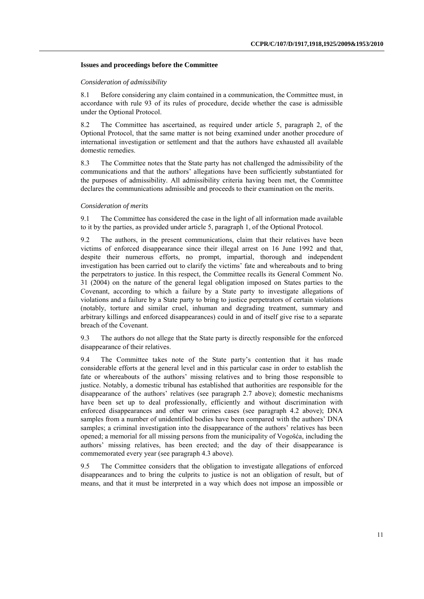#### **Issues and proceedings before the Committee**

#### *Consideration of admissibility*

8.1 Before considering any claim contained in a communication, the Committee must, in accordance with rule 93 of its rules of procedure, decide whether the case is admissible under the Optional Protocol.

8.2 The Committee has ascertained, as required under article 5, paragraph 2, of the Optional Protocol, that the same matter is not being examined under another procedure of international investigation or settlement and that the authors have exhausted all available domestic remedies.

8.3 The Committee notes that the State party has not challenged the admissibility of the communications and that the authors' allegations have been sufficiently substantiated for the purposes of admissibility. All admissibility criteria having been met, the Committee declares the communications admissible and proceeds to their examination on the merits.

#### *Consideration of merits*

9.1 The Committee has considered the case in the light of all information made available to it by the parties, as provided under article 5, paragraph 1, of the Optional Protocol.

9.2 The authors, in the present communications, claim that their relatives have been victims of enforced disappearance since their illegal arrest on 16 June 1992 and that, despite their numerous efforts, no prompt, impartial, thorough and independent investigation has been carried out to clarify the victims' fate and whereabouts and to bring the perpetrators to justice. In this respect, the Committee recalls its General Comment No. 31 (2004) on the nature of the general legal obligation imposed on States parties to the Covenant, according to which a failure by a State party to investigate allegations of violations and a failure by a State party to bring to justice perpetrators of certain violations (notably, torture and similar cruel, inhuman and degrading treatment, summary and arbitrary killings and enforced disappearances) could in and of itself give rise to a separate breach of the Covenant.

9.3 The authors do not allege that the State party is directly responsible for the enforced disappearance of their relatives.

9.4 The Committee takes note of the State party's contention that it has made considerable efforts at the general level and in this particular case in order to establish the fate or whereabouts of the authors' missing relatives and to bring those responsible to justice. Notably, a domestic tribunal has established that authorities are responsible for the disappearance of the authors' relatives (see paragraph 2.7 above); domestic mechanisms have been set up to deal professionally, efficiently and without discrimination with enforced disappearances and other war crimes cases (see paragraph 4.2 above); DNA samples from a number of unidentified bodies have been compared with the authors' DNA samples; a criminal investigation into the disappearance of the authors' relatives has been opened; a memorial for all missing persons from the municipality of Vogošća, including the authors' missing relatives, has been erected; and the day of their disappearance is commemorated every year (see paragraph 4.3 above).

9.5 The Committee considers that the obligation to investigate allegations of enforced disappearances and to bring the culprits to justice is not an obligation of result, but of means, and that it must be interpreted in a way which does not impose an impossible or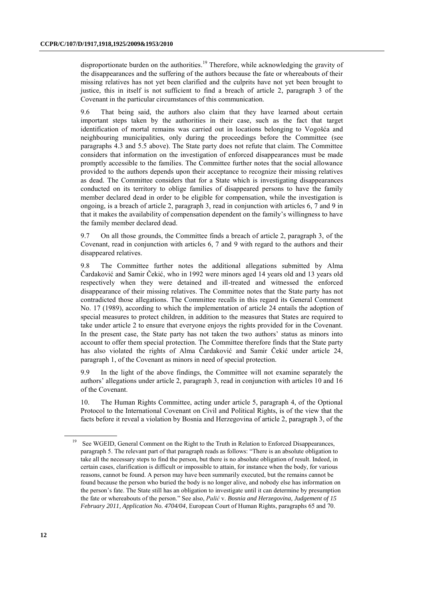disproportionate burden on the authorities.<sup>19</sup> Therefore, while acknowledging the gravity of the disappearances and the suffering of the authors because the fate or whereabouts of their missing relatives has not yet been clarified and the culprits have not yet been brought to justice, this in itself is not sufficient to find a breach of article 2, paragraph 3 of the Covenant in the particular circumstances of this communication.

9.6 That being said, the authors also claim that they have learned about certain important steps taken by the authorities in their case, such as the fact that target identification of mortal remains was carried out in locations belonging to Vogošća and neighbouring municipalities, only during the proceedings before the Committee (see paragraphs 4.3 and 5.5 above). The State party does not refute that claim. The Committee considers that information on the investigation of enforced disappearances must be made promptly accessible to the families. The Committee further notes that the social allowance provided to the authors depends upon their acceptance to recognize their missing relatives as dead. The Committee considers that for a State which is investigating disappearances conducted on its territory to oblige families of disappeared persons to have the family member declared dead in order to be eligible for compensation, while the investigation is ongoing, is a breach of article 2, paragraph 3, read in conjunction with articles 6, 7 and 9 in that it makes the availability of compensation dependent on the family's willingness to have the family member declared dead.

9.7 On all those grounds, the Committee finds a breach of article 2, paragraph 3, of the Covenant, read in conjunction with articles 6, 7 and 9 with regard to the authors and their disappeared relatives.

9.8 The Committee further notes the additional allegations submitted by Alma Čardaković and Samir Čekić, who in 1992 were minors aged 14 years old and 13 years old respectively when they were detained and ill-treated and witnessed the enforced disappearance of their missing relatives. The Committee notes that the State party has not contradicted those allegations. The Committee recalls in this regard its General Comment No. 17 (1989), according to which the implementation of article 24 entails the adoption of special measures to protect children, in addition to the measures that States are required to take under article 2 to ensure that everyone enjoys the rights provided for in the Covenant. In the present case, the State party has not taken the two authors' status as minors into account to offer them special protection. The Committee therefore finds that the State party has also violated the rights of Alma Čardaković and Samir Čekić under article 24, paragraph 1, of the Covenant as minors in need of special protection.

9.9 In the light of the above findings, the Committee will not examine separately the authors' allegations under article 2, paragraph 3, read in conjunction with articles 10 and 16 of the Covenant.

10. The Human Rights Committee, acting under article 5, paragraph 4, of the Optional Protocol to the International Covenant on Civil and Political Rights, is of the view that the facts before it reveal a violation by Bosnia and Herzegovina of article 2, paragraph 3, of the

<sup>&</sup>lt;sup>19</sup> See WGEID, General Comment on the Right to the Truth in Relation to Enforced Disappearances, paragraph 5. The relevant part of that paragraph reads as follows: "There is an absolute obligation to take all the necessary steps to find the person, but there is no absolute obligation of result. Indeed, in certain cases, clarification is difficult or impossible to attain, for instance when the body, for various reasons, cannot be found. A person may have been summarily executed, but the remains cannot be found because the person who buried the body is no longer alive, and nobody else has information on the person's fate. The State still has an obligation to investigate until it can determine by presumption the fate or whereabouts of the person." See also, *Palić* v. *Bosnia and Herzegovina, Judgement of 15 February 2011, Application No. 4704/04*, European Court of Human Rights, paragraphs 65 and 70.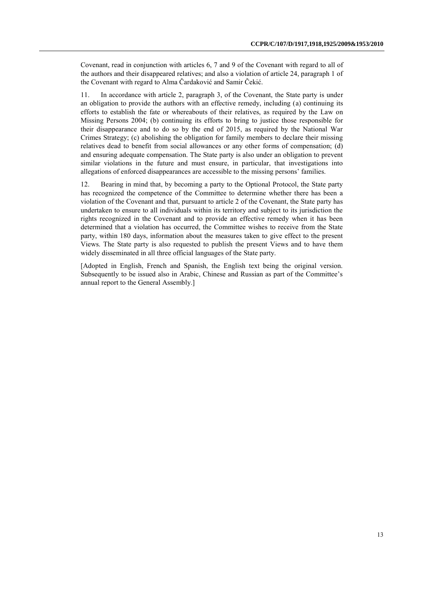Covenant, read in conjunction with articles 6, 7 and 9 of the Covenant with regard to all of the authors and their disappeared relatives; and also a violation of article 24, paragraph 1 of the Covenant with regard to Alma Čardaković and Samir Čekić.

11. In accordance with article 2, paragraph 3, of the Covenant, the State party is under an obligation to provide the authors with an effective remedy, including (a) continuing its efforts to establish the fate or whereabouts of their relatives, as required by the Law on Missing Persons 2004; (b) continuing its efforts to bring to justice those responsible for their disappearance and to do so by the end of 2015, as required by the National War Crimes Strategy; (c) abolishing the obligation for family members to declare their missing relatives dead to benefit from social allowances or any other forms of compensation; (d) and ensuring adequate compensation. The State party is also under an obligation to prevent similar violations in the future and must ensure, in particular, that investigations into allegations of enforced disappearances are accessible to the missing persons' families.

12. Bearing in mind that, by becoming a party to the Optional Protocol, the State party has recognized the competence of the Committee to determine whether there has been a violation of the Covenant and that, pursuant to article 2 of the Covenant, the State party has undertaken to ensure to all individuals within its territory and subject to its jurisdiction the rights recognized in the Covenant and to provide an effective remedy when it has been determined that a violation has occurred, the Committee wishes to receive from the State party, within 180 days, information about the measures taken to give effect to the present Views. The State party is also requested to publish the present Views and to have them widely disseminated in all three official languages of the State party.

[Adopted in English, French and Spanish, the English text being the original version. Subsequently to be issued also in Arabic, Chinese and Russian as part of the Committee's annual report to the General Assembly.]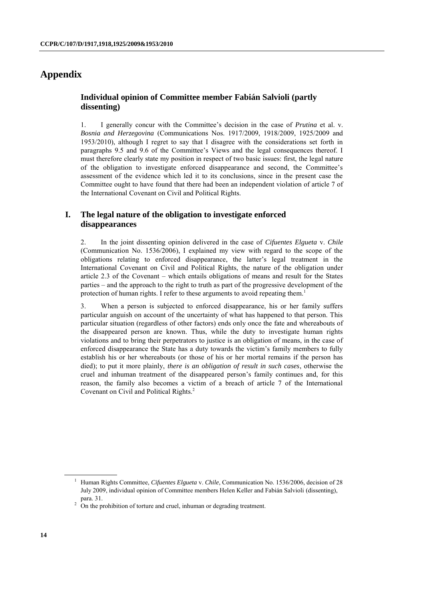# **Appendix**

### **Individual opinion of Committee member Fabián Salvioli (partly dissenting)**

1. I generally concur with the Committee's decision in the case of *Prutina* et al. v. *Bosnia and Herzegovina* (Communications Nos. 1917/2009, 1918/2009, 1925/2009 and 1953/2010), although I regret to say that I disagree with the considerations set forth in paragraphs 9.5 and 9.6 of the Committee's Views and the legal consequences thereof. I must therefore clearly state my position in respect of two basic issues: first, the legal nature of the obligation to investigate enforced disappearance and second, the Committee's assessment of the evidence which led it to its conclusions, since in the present case the Committee ought to have found that there had been an independent violation of article 7 of the International Covenant on Civil and Political Rights.

## **I. The legal nature of the obligation to investigate enforced disappearances**

2. In the joint dissenting opinion delivered in the case of *Cifuentes Elgueta* v. *Chile* (Communication No. 1536/2006), I explained my view with regard to the scope of the obligations relating to enforced disappearance, the latter's legal treatment in the International Covenant on Civil and Political Rights, the nature of the obligation under article 2.3 of the Covenant – which entails obligations of means and result for the States parties – and the approach to the right to truth as part of the progressive development of the protection of human rights. I refer to these arguments to avoid repeating them.<sup>1</sup>

3. When a person is subjected to enforced disappearance, his or her family suffers particular anguish on account of the uncertainty of what has happened to that person. This particular situation (regardless of other factors) ends only once the fate and whereabouts of the disappeared person are known. Thus, while the duty to investigate human rights violations and to bring their perpetrators to justice is an obligation of means, in the case of enforced disappearance the State has a duty towards the victim's family members to fully establish his or her whereabouts (or those of his or her mortal remains if the person has died); to put it more plainly, *there is an obligation of result in such cases*, otherwise the cruel and inhuman treatment of the disappeared person's family continues and, for this reason, the family also becomes a victim of a breach of article 7 of the International Covenant on Civil and Political Rights.<sup>2</sup>

<sup>1</sup> Human Rights Committee, *Cifuentes Elgueta* v. *Chile*, Communication No. 1536/2006, decision of 28 July 2009, individual opinion of Committee members Helen Keller and Fabián Salvioli (dissenting), para. 31.

 $2 \overline{C}$  On the prohibition of torture and cruel, inhuman or degrading treatment.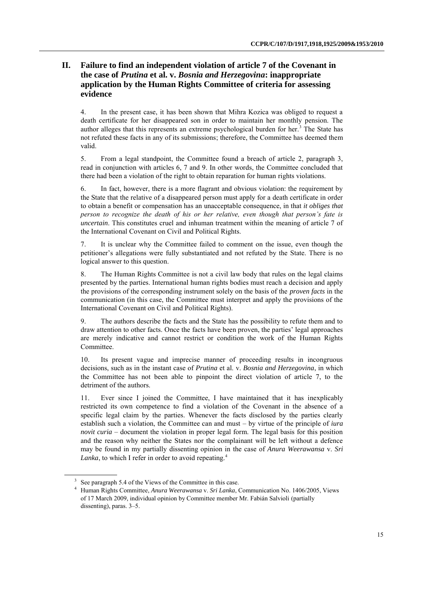# **II. Failure to find an independent violation of article 7 of the Covenant in the case of** *Prutina* **et al. v.** *Bosnia and Herzegovina***: inappropriate application by the Human Rights Committee of criteria for assessing evidence**

4. In the present case, it has been shown that Mihra Kozica was obliged to request a death certificate for her disappeared son in order to maintain her monthly pension. The author alleges that this represents an extreme psychological burden for her.<sup>3</sup> The State has not refuted these facts in any of its submissions; therefore, the Committee has deemed them valid.

5. From a legal standpoint, the Committee found a breach of article 2, paragraph 3, read in conjunction with articles 6, 7 and 9. In other words, the Committee concluded that there had been a violation of the right to obtain reparation for human rights violations.

6. In fact, however, there is a more flagrant and obvious violation: the requirement by the State that the relative of a disappeared person must apply for a death certificate in order to obtain a benefit or compensation has an unacceptable consequence, in that *it obliges that person to recognize the death of his or her relative, even though that person's fate is uncertain*. This constitutes cruel and inhuman treatment within the meaning of article 7 of the International Covenant on Civil and Political Rights.

7. It is unclear why the Committee failed to comment on the issue, even though the petitioner's allegations were fully substantiated and not refuted by the State. There is no logical answer to this question.

8. The Human Rights Committee is not a civil law body that rules on the legal claims presented by the parties. International human rights bodies must reach a decision and apply the provisions of the corresponding instrument solely on the basis of the *proven facts* in the communication (in this case, the Committee must interpret and apply the provisions of the International Covenant on Civil and Political Rights).

9. The authors describe the facts and the State has the possibility to refute them and to draw attention to other facts. Once the facts have been proven, the parties' legal approaches are merely indicative and cannot restrict or condition the work of the Human Rights Committee.

10. Its present vague and imprecise manner of proceeding results in incongruous decisions, such as in the instant case of *Prutina* et al. v. *Bosnia and Herzegovina*, in which the Committee has not been able to pinpoint the direct violation of article 7, to the detriment of the authors.

11. Ever since I joined the Committee, I have maintained that it has inexplicably restricted its own competence to find a violation of the Covenant in the absence of a specific legal claim by the parties. Whenever the facts disclosed by the parties clearly establish such a violation, the Committee can and must – by virtue of the principle of *iura novit curia* – document the violation in proper legal form. The legal basis for this position and the reason why neither the States nor the complainant will be left without a defence may be found in my partially dissenting opinion in the case of *Anura Weerawansa* v. *Sri*  Lanka, to which I refer in order to avoid repeating.<sup>4</sup>

<sup>&</sup>lt;sup>3</sup> See paragraph 5.4 of the Views of the Committee in this case.

<sup>4</sup> Human Rights Committee, *Anura Weerawansa* v. *Sri Lanka*, Communication No. 1406/2005, Views of 17 March 2009, individual opinion by Committee member Mr. Fabián Salvioli (partially dissenting), paras. 3–5.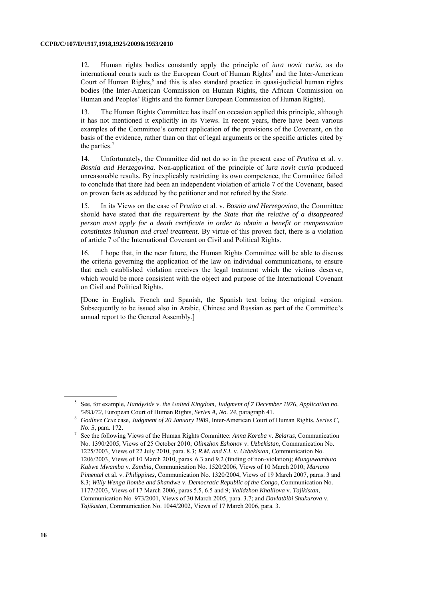12. Human rights bodies constantly apply the principle of *iura novit curia*, as do international courts such as the European Court of Human Rights<sup>5</sup> and the Inter-American Court of Human Rights,<sup>6</sup> and this is also standard practice in quasi-judicial human rights bodies (the Inter-American Commission on Human Rights, the African Commission on Human and Peoples' Rights and the former European Commission of Human Rights).

13. The Human Rights Committee has itself on occasion applied this principle, although it has not mentioned it explicitly in its Views. In recent years, there have been various examples of the Committee's correct application of the provisions of the Covenant, on the basis of the evidence, rather than on that of legal arguments or the specific articles cited by the parties.<sup>7</sup>

14. Unfortunately, the Committee did not do so in the present case of *Prutina* et al. v. *Bosnia and Herzegovina*. Non-application of the principle of *iura novit curia* produced unreasonable results. By inexplicably restricting its own competence, the Committee failed to conclude that there had been an independent violation of article 7 of the Covenant, based on proven facts as adduced by the petitioner and not refuted by the State.

15. In its Views on the case of *Prutina* et al. v. *Bosnia and Herzegovina*, the Committee should have stated that *the requirement by the State that the relative of a disappeared person must apply for a death certificate in order to obtain a benefit or compensation constitutes inhuman and cruel treatment*. By virtue of this proven fact, there is a violation of article 7 of the International Covenant on Civil and Political Rights.

16. I hope that, in the near future, the Human Rights Committee will be able to discuss the criteria governing the application of the law on individual communications, to ensure that each established violation receives the legal treatment which the victims deserve, which would be more consistent with the object and purpose of the International Covenant on Civil and Political Rights.

[Done in English, French and Spanish, the Spanish text being the original version. Subsequently to be issued also in Arabic, Chinese and Russian as part of the Committee's annual report to the General Assembly.]

<sup>5</sup> See, for example, *Handyside* v. *the United Kingdom, Judgment of 7 December 1976, Application no. 5493/72*, European Court of Human Rights, *Series A, No. 24*, paragraph 41.

<sup>6</sup> *Godínez Cruz* case, *Judgment of 20 January 1989*, Inter-American Court of Human Rights, *Series C, No. 5*, para. 172.

<sup>7</sup> See the following Views of the Human Rights Committee: *Anna Koreba* v. *Belarus*, Communication No. 1390/2005, Views of 25 October 2010; *Olimzhon Eshonov* v. *Uzbekistan*, Communication No. 1225/2003, Views of 22 July 2010, para. 8.3; *R.M. and S.I.* v. *Uzbekistan*, Communication No. 1206/2003, Views of 10 March 2010, paras. 6.3 and 9.2 (finding of non-violation); *Munguwambuto Kabwe Mwamba* v. *Zambia*, Communication No. 1520/2006, Views of 10 March 2010; *Mariano Pimentel* et al. v. *Philippines*, Communication No. 1320/2004, Views of 19 March 2007, paras. 3 and 8.3; *Willy Wenga Ilombe and Shandwe* v. *Democratic Republic of the Congo*, Communication No. 1177/2003, Views of 17 March 2006, paras 5.5, 6.5 and 9; *Validzhon Khalilova* v. *Tajikistan*, Communication No. 973/2001, Views of 30 March 2005, para. 3.7; and *Davlatbibi Shukurova* v. *Tajikistan*, Communication No. 1044/2002, Views of 17 March 2006, para. 3.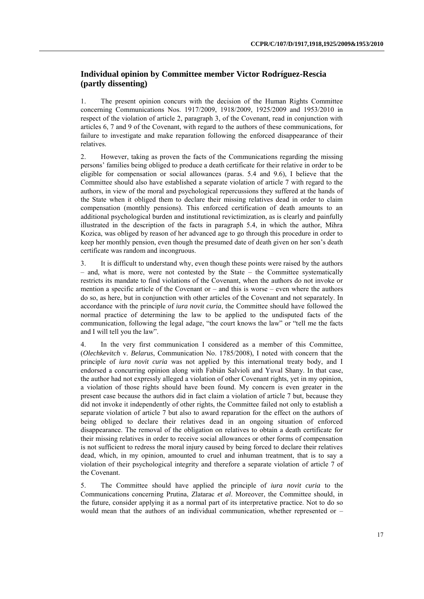## **Individual opinion by Committee member Victor Rodríguez-Rescia (partly dissenting)**

1. The present opinion concurs with the decision of the Human Rights Committee concerning Communications Nos. 1917/2009, 1918/2009, 1925/2009 and 1953/2010 in respect of the violation of article 2, paragraph 3, of the Covenant, read in conjunction with articles 6, 7 and 9 of the Covenant, with regard to the authors of these communications, for failure to investigate and make reparation following the enforced disappearance of their relatives.

2. However, taking as proven the facts of the Communications regarding the missing persons' families being obliged to produce a death certificate for their relative in order to be eligible for compensation or social allowances (paras. 5.4 and 9.6), I believe that the Committee should also have established a separate violation of article 7 with regard to the authors, in view of the moral and psychological repercussions they suffered at the hands of the State when it obliged them to declare their missing relatives dead in order to claim compensation (monthly pensions). This enforced certification of death amounts to an additional psychological burden and institutional revictimization, as is clearly and painfully illustrated in the description of the facts in paragraph 5.4, in which the author, Mihra Kozica, was obliged by reason of her advanced age to go through this procedure in order to keep her monthly pension, even though the presumed date of death given on her son's death certificate was random and incongruous.

3. It is difficult to understand why, even though these points were raised by the authors – and, what is more, were not contested by the State – the Committee systematically restricts its mandate to find violations of the Covenant, when the authors do not invoke or mention a specific article of the Covenant or – and this is worse – even where the authors do so, as here, but in conjunction with other articles of the Covenant and not separately. In accordance with the principle of *iura novit curia*, the Committee should have followed the normal practice of determining the law to be applied to the undisputed facts of the communication, following the legal adage, "the court knows the law" or "tell me the facts and I will tell you the law".

4. In the very first communication I considered as a member of this Committee, (*Olechkevitch* v. *Belarus*, Communication No. 1785/2008), I noted with concern that the principle of *iura novit curia* was not applied by this international treaty body, and I endorsed a concurring opinion along with Fabián Salvioli and Yuval Shany. In that case, the author had not expressly alleged a violation of other Covenant rights, yet in my opinion, a violation of those rights should have been found. My concern is even greater in the present case because the authors did in fact claim a violation of article 7 but, because they did not invoke it independently of other rights, the Committee failed not only to establish a separate violation of article 7 but also to award reparation for the effect on the authors of being obliged to declare their relatives dead in an ongoing situation of enforced disappearance. The removal of the obligation on relatives to obtain a death certificate for their missing relatives in order to receive social allowances or other forms of compensation is not sufficient to redress the moral injury caused by being forced to declare their relatives dead, which, in my opinion, amounted to cruel and inhuman treatment, that is to say a violation of their psychological integrity and therefore a separate violation of article 7 of the Covenant.

5. The Committee should have applied the principle of *iura novit curia* to the Communications concerning Prutina, Zlatarac *et al*. Moreover, the Committee should, in the future, consider applying it as a normal part of its interpretative practice. Not to do so would mean that the authors of an individual communication, whether represented or –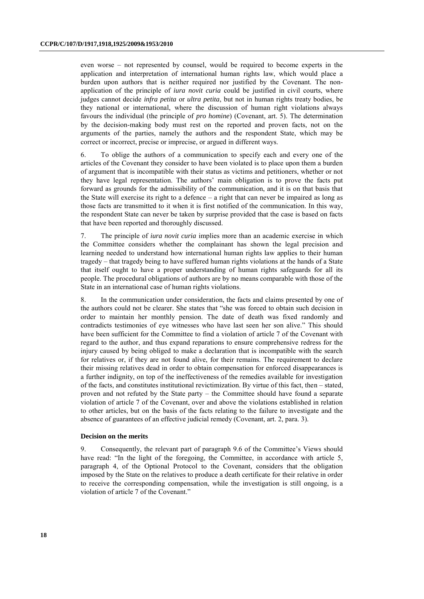even worse – not represented by counsel, would be required to become experts in the application and interpretation of international human rights law, which would place a burden upon authors that is neither required nor justified by the Covenant. The nonapplication of the principle of *iura novit curia* could be justified in civil courts, where judges cannot decide *infra petita* or *ultra petita*, but not in human rights treaty bodies, be they national or international, where the discussion of human right violations always favours the individual (the principle of *pro homine*) (Covenant, art. 5). The determination by the decision-making body must rest on the reported and proven facts, not on the arguments of the parties, namely the authors and the respondent State, which may be correct or incorrect, precise or imprecise, or argued in different ways.

6. To oblige the authors of a communication to specify each and every one of the articles of the Covenant they consider to have been violated is to place upon them a burden of argument that is incompatible with their status as victims and petitioners, whether or not they have legal representation. The authors' main obligation is to prove the facts put forward as grounds for the admissibility of the communication, and it is on that basis that the State will exercise its right to a defence – a right that can never be impaired as long as those facts are transmitted to it when it is first notified of the communication. In this way, the respondent State can never be taken by surprise provided that the case is based on facts that have been reported and thoroughly discussed.

7. The principle of *iura novit curia* implies more than an academic exercise in which the Committee considers whether the complainant has shown the legal precision and learning needed to understand how international human rights law applies to their human tragedy – that tragedy being to have suffered human rights violations at the hands of a State that itself ought to have a proper understanding of human rights safeguards for all its people. The procedural obligations of authors are by no means comparable with those of the State in an international case of human rights violations.

8. In the communication under consideration, the facts and claims presented by one of the authors could not be clearer. She states that "she was forced to obtain such decision in order to maintain her monthly pension. The date of death was fixed randomly and contradicts testimonies of eye witnesses who have last seen her son alive." This should have been sufficient for the Committee to find a violation of article 7 of the Covenant with regard to the author, and thus expand reparations to ensure comprehensive redress for the injury caused by being obliged to make a declaration that is incompatible with the search for relatives or, if they are not found alive, for their remains. The requirement to declare their missing relatives dead in order to obtain compensation for enforced disappearances is a further indignity, on top of the ineffectiveness of the remedies available for investigation of the facts, and constitutes institutional revictimization. By virtue of this fact, then – stated, proven and not refuted by the State party – the Committee should have found a separate violation of article 7 of the Covenant, over and above the violations established in relation to other articles, but on the basis of the facts relating to the failure to investigate and the absence of guarantees of an effective judicial remedy (Covenant, art. 2, para. 3).

#### **Decision on the merits**

9. Consequently, the relevant part of paragraph 9.6 of the Committee's Views should have read: "In the light of the foregoing, the Committee, in accordance with article 5, paragraph 4, of the Optional Protocol to the Covenant, considers that the obligation imposed by the State on the relatives to produce a death certificate for their relative in order to receive the corresponding compensation, while the investigation is still ongoing, is a violation of article 7 of the Covenant."